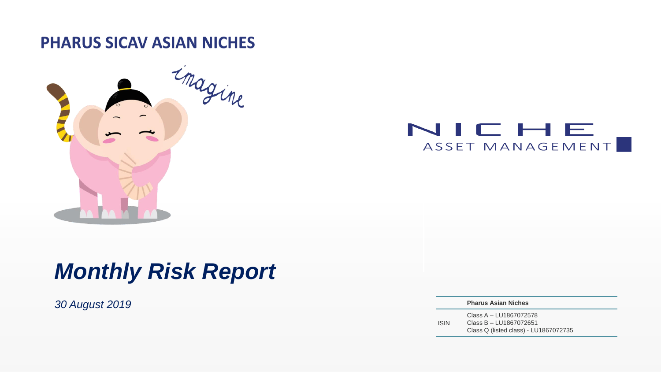**PHARUS SICAV ASIAN NICHES** 





# *Monthly Risk Report*

*30 August 2019* **Pharus Asian Niches**

ISIN Class A – LU1867072578 Class B – LU1867072651 Class Q (listed class) - LU1867072735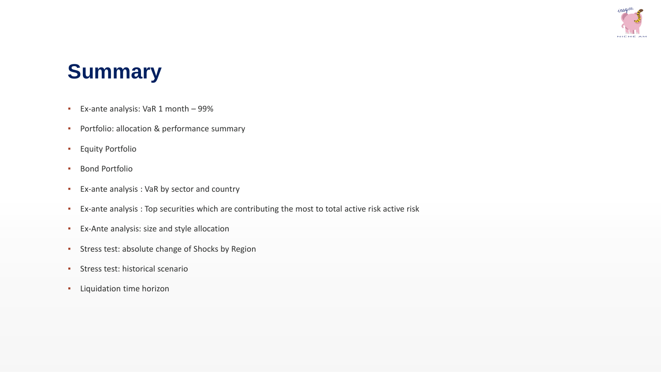

# **Summary**

- Ex-ante analysis: VaR 1 month 99%
- **•** Portfolio: allocation & performance summary
- Equity Portfolio
- Bond Portfolio
- Ex-ante analysis : VaR by sector and country
- Ex-ante analysis : Top securities which are contributing the most to total active risk active risk
- Ex-Ante analysis: size and style allocation
- **EXEC** Stress test: absolute change of Shocks by Region
- Stress test: historical scenario
- Liquidation time horizon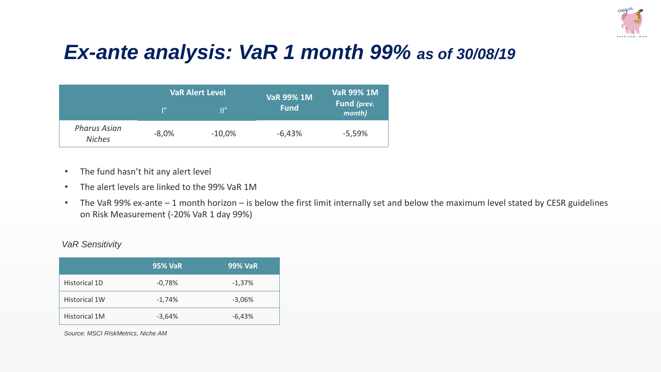

# *Ex-ante analysis: VaR 1 month 99% as of 30/08/19*

|                                      |         | <b>VaR Alert Level</b> | <b>VaR 99% 1M</b> | <b>VaR 99% 1M</b>     |
|--------------------------------------|---------|------------------------|-------------------|-----------------------|
|                                      | q٥      | $\mathsf{II}^\circ$    | <b>Fund</b>       | Fund (prev.<br>month) |
| <b>Pharus Asian</b><br><b>Niches</b> | $-8,0%$ | $-10,0%$               | $-6,43%$          | $-5,59%$              |

- The fund hasn't hit any alert level
- The alert levels are linked to the 99% VaR 1M
- The VaR 99% ex-ante 1 month horizon is below the first limit internally set and below the maximum level stated by CESR guidelines on Risk Measurement (-20% VaR 1 day 99%)

### *VaR Sensitivity*

|                      | <b>95% VaR</b> | <b>99% VaR</b> |
|----------------------|----------------|----------------|
| Historical 1D        | $-0,78%$       | $-1,37%$       |
| <b>Historical 1W</b> | $-1,74%$       | $-3,06%$       |
| <b>Historical 1M</b> | $-3,64%$       | $-6,43%$       |

*Source: MSCI RIskMetrics, Niche AM*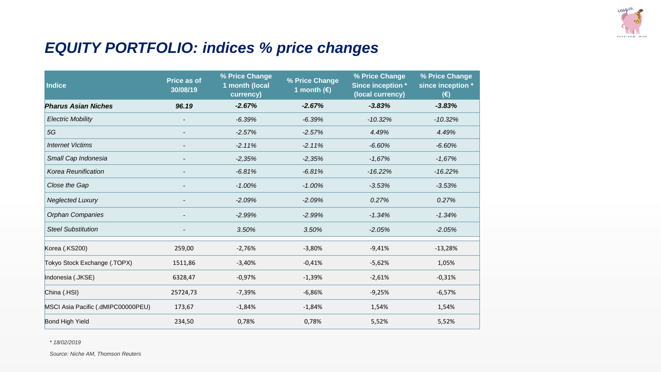

## *EQUITY PORTFOLIO: indices % price changes*

| <b>Indice</b>                      | <b>Price as of</b><br>30/08/19 | % Price Change<br>1 month (local<br>currency) | % Price Change<br>1 month $(E)$ | % Price Change<br>Since inception *<br>(local currency) | % Price Change<br>since inception *<br>$(\epsilon)$ |
|------------------------------------|--------------------------------|-----------------------------------------------|---------------------------------|---------------------------------------------------------|-----------------------------------------------------|
| <b>Pharus Asian Niches</b>         | 96.19                          | $-2.67%$                                      | $-2.67%$                        | $-3.83%$                                                | $-3.83%$                                            |
| <b>Electric Mobility</b>           |                                | $-6.39%$                                      | $-6.39%$                        | $-10.32%$                                               | $-10.32%$                                           |
| 5G                                 |                                | $-2.57%$                                      | $-2.57%$                        | 4.49%                                                   | 4.49%                                               |
| <b>Internet Victims</b>            |                                | $-2.11%$                                      | $-2.11%$                        | $-6.60%$                                                | $-6.60%$                                            |
| Small Cap Indonesia                |                                | $-2,35%$                                      | $-2,35%$                        | $-1,67%$                                                | $-1,67%$                                            |
| Korea Reunification                |                                | $-6.81%$                                      | $-6.81%$                        | $-16.22%$                                               | $-16.22%$                                           |
| Close the Gap                      |                                | $-1.00%$                                      | $-1.00%$                        | $-3.53%$                                                | $-3.53%$                                            |
| <b>Neglected Luxury</b>            |                                | $-2.09%$                                      | $-2.09%$                        | 0.27%                                                   | 0.27%                                               |
| <b>Orphan Companies</b>            |                                | $-2.99%$                                      | $-2.99%$                        | $-1.34%$                                                | $-1.34%$                                            |
| <b>Steel Substitution</b>          | $\overline{\phantom{a}}$       | 3.50%                                         | 3.50%                           | $-2.05%$                                                | $-2.05%$                                            |
| Korea (.KS200)                     | 259,00                         | $-2,76%$                                      | $-3,80%$                        | $-9,41%$                                                | $-13,28%$                                           |
| Tokyo Stock Exchange (.TOPX)       | 1511,86                        | $-3,40%$                                      | $-0,41%$                        | $-5,62%$                                                | 1,05%                                               |
| Indonesia (.JKSE)                  | 6328,47                        | $-0,97%$                                      | $-1,39%$                        | $-2,61%$                                                | $-0,31%$                                            |
| China (.HSI)                       | 25724,73                       | $-7,39%$                                      | $-6,86%$                        | $-9,25%$                                                | $-6,57%$                                            |
| MSCI Asia Pacific (.dMIPC00000PEU) | 173,67                         | $-1,84%$                                      | $-1,84%$                        | 1,54%                                                   | 1,54%                                               |
| <b>Bond High Yield</b>             | 234,50                         | 0,78%                                         | 0,78%                           | 5,52%                                                   | 5,52%                                               |

*\* 18/02/2019*

*Source: Niche AM, Thomson Reuters*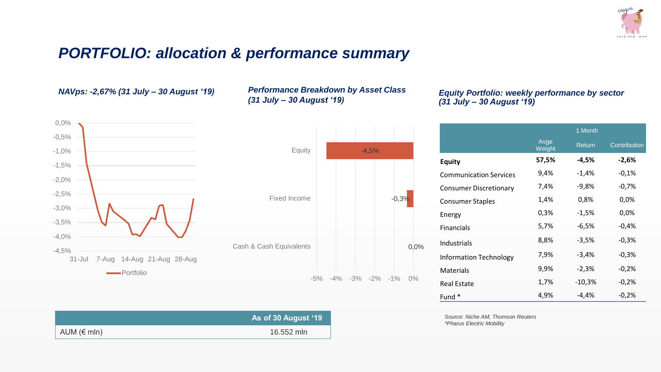

### *PORTFOLIO: allocation & performance summary*



| NAVps: -2,67% (31 July – 30 August '19) | <b>Performance Breakdown by Asset Class</b> |
|-----------------------------------------|---------------------------------------------|
|                                         | (31 July – 30 August '19)                   |



### *Equity Portfolio: weekly performance by sector (31 July – 30 August '19)*

|                               |                | 1 Month       |              |
|-------------------------------|----------------|---------------|--------------|
|                               | Avge<br>Weight | <b>Return</b> | Contribution |
| <b>Equity</b>                 | 57,5%          | -4,5%         | $-2,6%$      |
| <b>Communication Services</b> | 9,4%           | $-1,4%$       | $-0,1%$      |
| <b>Consumer Discretionary</b> | 7,4%           | -9,8%         | $-0,7%$      |
| <b>Consumer Staples</b>       | 1,4%           | 0,8%          | 0,0%         |
| Energy                        | 0,3%           | $-1,5%$       | 0,0%         |
| <b>Financials</b>             | 5,7%           | $-6,5%$       | $-0.4%$      |
| Industrials                   | 8,8%           | $-3,5%$       | $-0,3%$      |
| <b>Information Technology</b> | 7,9%           | $-3,4%$       | $-0,3%$      |
| <b>Materials</b>              | 9,9%           | $-2,3%$       | $-0,2%$      |
| <b>Real Estate</b>            | 1,7%           | $-10,3%$      | $-0.2%$      |
| Fund <sup>*</sup>             | 4,9%           | $-4,4%$       | $-0,2%$      |

| Source: Niche AM, Thomson Reuters |  |
|-----------------------------------|--|
| *Pharus Electric Mobility         |  |

|                      | As of 30 August '19 |
|----------------------|---------------------|
| AUM $(\epsilon$ mln) | 16.552 mln          |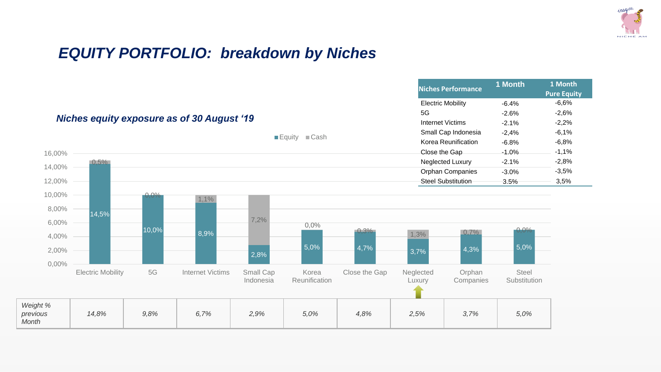

## *EQUITY PORTFOLIO: breakdown by Niches*

|                               |                          |       |                                                   |                        |                                           |               |                     | <b>Niches Performance</b> | 1 Month               | 1 Month<br><b>Pure Equity</b> |
|-------------------------------|--------------------------|-------|---------------------------------------------------|------------------------|-------------------------------------------|---------------|---------------------|---------------------------|-----------------------|-------------------------------|
|                               |                          |       |                                                   |                        |                                           |               |                     | <b>Electric Mobility</b>  | $-6.4%$               | $-6,6%$                       |
|                               |                          |       | <b>Niches equity exposure as of 30 August '19</b> |                        |                                           |               | 5G                  |                           | $-2.6%$               | $-2,6%$                       |
|                               |                          |       |                                                   |                        |                                           |               |                     | <b>Internet Victims</b>   | $-2.1%$               | $-2,2%$                       |
|                               |                          |       |                                                   |                        | $\blacksquare$ Equity $\blacksquare$ Cash |               |                     | Small Cap Indonesia       | $-2,4%$               | $-6,1%$                       |
|                               |                          |       |                                                   |                        |                                           |               |                     | Korea Reunification       | $-6.8%$               | $-6,8%$                       |
| 16,00%                        |                          |       |                                                   |                        |                                           |               | Close the Gap       |                           | $-1.0%$               | $-1,1%$                       |
| 14,00%                        | $0.5\%$                  |       |                                                   |                        |                                           |               |                     | Neglected Luxury          | $-2.1%$               | $-2,8%$                       |
|                               |                          |       |                                                   |                        |                                           |               |                     | Orphan Companies          | $-3.0%$               | $-3,5%$                       |
| 12,00%                        |                          |       |                                                   |                        |                                           |               |                     | <b>Steel Substitution</b> | 3.5%                  | 3,5%                          |
| 10,00%                        |                          | 0.0%  | 1,1%                                              |                        |                                           |               |                     |                           |                       |                               |
| 8,00%                         | 14,5%                    |       |                                                   |                        |                                           |               |                     |                           |                       |                               |
| 6,00%                         |                          |       |                                                   | 7,2%                   | 0,0%                                      |               |                     |                           |                       |                               |
| 4,00%                         |                          | 10,0% | 8,9%                                              |                        |                                           | $-0.3\%$      | 1,3%                | 0,7%                      | $-0.0%$               |                               |
| 2,00%                         |                          |       |                                                   | 2,8%                   | 5,0%                                      | 4,7%          | 3,7%                | 4,3%                      | 5,0%                  |                               |
| 0,00%                         |                          |       |                                                   |                        |                                           |               |                     |                           |                       |                               |
|                               | <b>Electric Mobility</b> | $5G$  | <b>Internet Victims</b>                           | Small Cap<br>Indonesia | Korea<br>Reunification                    | Close the Gap | Neglected<br>Luxury | Orphan<br>Companies       | Steel<br>Substitution |                               |
| Weight %<br>previous<br>Month | 14,8%                    | 9,8%  | 6,7%                                              | 2,9%                   | 5,0%                                      | 4,8%          | 2,5%                | 3,7%                      | 5,0%                  |                               |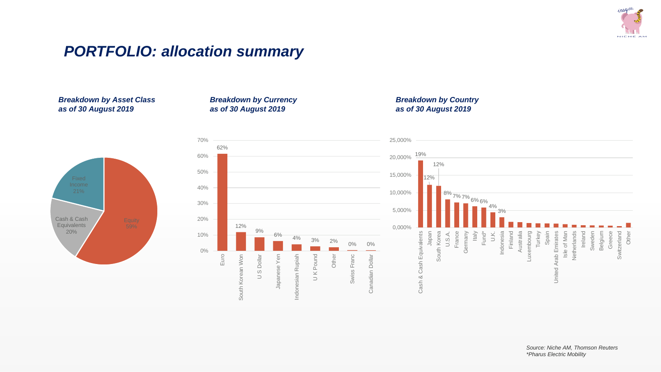

### *PORTFOLIO: allocation summary*

### *Breakdown by Asset Class as of 30 August 2019*

Cash & Cash **Equivalents** 20%





### *Breakdown by Country as of 30 August 2019*

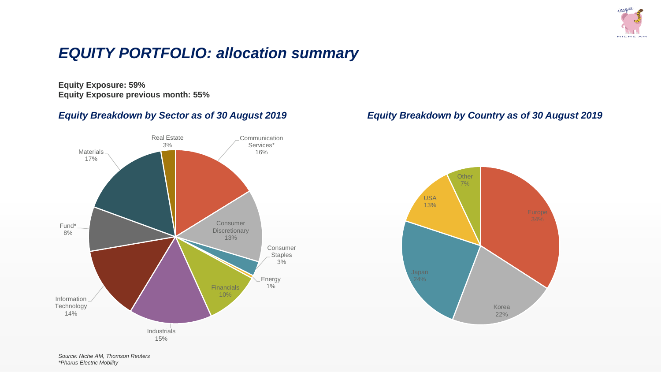

## *EQUITY PORTFOLIO: allocation summary*

**Equity Exposure: 59% Equity Exposure previous month: 55%**



### *Equity Breakdown by Sector as of 30 August 2019 Equity Breakdown by Country as of 30 August 2019*

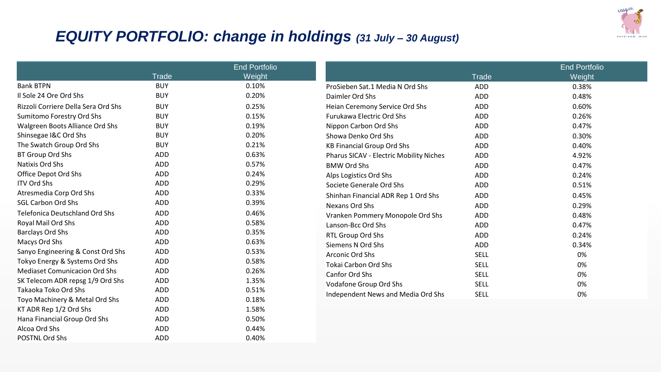

## *EQUITY PORTFOLIO: change in holdings (31 July – 30 August)*

POSTNL Ord Shs ADD 40%

|                                       |              | <b>End Portfolio</b> |                                         |              | <b>End Portfolio</b> |
|---------------------------------------|--------------|----------------------|-----------------------------------------|--------------|----------------------|
|                                       | <b>Trade</b> | Weight               |                                         | <b>Trade</b> | Weight               |
| <b>Bank BTPN</b>                      | <b>BUY</b>   | 0.10%                | ProSieben Sat.1 Media N Ord Shs         | <b>ADD</b>   | 0.38%                |
| Il Sole 24 Ore Ord Shs                | <b>BUY</b>   | 0.20%                | Daimler Ord Shs                         | ADD          | 0.48%                |
| Rizzoli Corriere Della Sera Ord Shs   | <b>BUY</b>   | 0.25%                | Heian Ceremony Service Ord Shs          | <b>ADD</b>   | 0.60%                |
| Sumitomo Forestry Ord Shs             | <b>BUY</b>   | 0.15%                | <b>Furukawa Electric Ord Shs</b>        | ADD          | 0.26%                |
| Walgreen Boots Alliance Ord Shs       | <b>BUY</b>   | 0.19%                | Nippon Carbon Ord Shs                   | ADD          | 0.47%                |
| Shinsegae I&C Ord Shs                 | <b>BUY</b>   | 0.20%                | Showa Denko Ord Shs                     | ADD          | 0.30%                |
| The Swatch Group Ord Shs              | <b>BUY</b>   | 0.21%                | <b>KB Financial Group Ord Shs</b>       | ADD          | 0.40%                |
| BT Group Ord Shs                      | ADD          | 0.63%                | Pharus SICAV - Electric Mobility Niches | ADD          | 4.92%                |
| Natixis Ord Shs                       | ADD          | 0.57%                | <b>BMW Ord Shs</b>                      | ADD          | 0.47%                |
| Office Depot Ord Shs                  | ADD          | 0.24%                | Alps Logistics Ord Shs                  | ADD          | 0.24%                |
| <b>ITV Ord Shs</b>                    | <b>ADD</b>   | 0.29%                | Societe Generale Ord Shs                | ADD          | 0.51%                |
| Atresmedia Corp Ord Shs               | ADD          | 0.33%                | Shinhan Financial ADR Rep 1 Ord Shs     | ADD          | 0.45%                |
| <b>SGL Carbon Ord Shs</b>             | ADD          | 0.39%                | Nexans Ord Shs                          | ADD          | 0.29%                |
| <b>Telefonica Deutschland Ord Shs</b> | <b>ADD</b>   | 0.46%                | Vranken Pommery Monopole Ord Shs        | ADD          | 0.48%                |
| Royal Mail Ord Shs                    | ADD          | 0.58%                | Lanson-Bcc Ord Shs                      | ADD          | 0.47%                |
| <b>Barclays Ord Shs</b>               | ADD          | 0.35%                | RTL Group Ord Shs                       | ADD          | 0.24%                |
| Macys Ord Shs                         | ADD          | 0.63%                | Siemens N Ord Shs                       | ADD          | 0.34%                |
| Sanyo Engineering & Const Ord Shs     | ADD          | 0.53%                | Arconic Ord Shs                         | <b>SELL</b>  | 0%                   |
| Tokyo Energy & Systems Ord Shs        | ADD          | 0.58%                | <b>Tokai Carbon Ord Shs</b>             | <b>SELL</b>  | 0%                   |
| <b>Mediaset Comunicacion Ord Shs</b>  | <b>ADD</b>   | 0.26%                | <b>Canfor Ord Shs</b>                   | <b>SELL</b>  | 0%                   |
| SK Telecom ADR repsg 1/9 Ord Shs      | ADD          | 1.35%                | Vodafone Group Ord Shs                  | <b>SELL</b>  | 0%                   |
| Takaoka Toko Ord Shs                  | <b>ADD</b>   | 0.51%                | Independent News and Media Ord Shs      | <b>SELL</b>  | 0%                   |
| Toyo Machinery & Metal Ord Shs        | <b>ADD</b>   | 0.18%                |                                         |              |                      |
| KT ADR Rep 1/2 Ord Shs                | ADD          | 1.58%                |                                         |              |                      |
| Hana Financial Group Ord Shs          | <b>ADD</b>   | 0.50%                |                                         |              |                      |
| Alcoa Ord Shs                         | <b>ADD</b>   | 0.44%                |                                         |              |                      |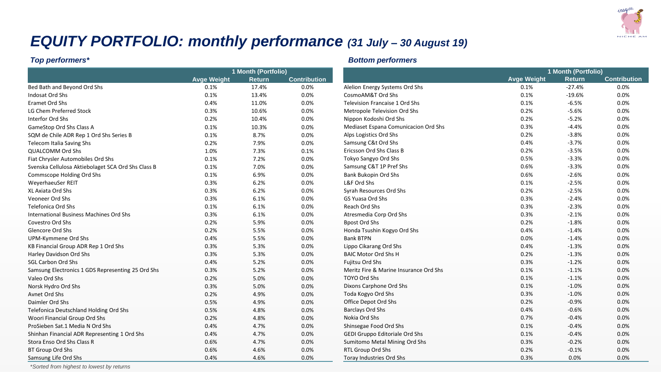

## *EQUITY PORTFOLIO: monthly performance (31 July – 30 August 19)*

|                                                    |                    | 1 Month (Portfolio) |                     |                                        |
|----------------------------------------------------|--------------------|---------------------|---------------------|----------------------------------------|
|                                                    | <b>Avge Weight</b> | <b>Return</b>       | <b>Contribution</b> |                                        |
| Bed Bath and Beyond Ord Shs                        | 0.1%               | 17.4%               | 0.0%                | Alelion Energy Systems Ord Shs         |
| Indosat Ord Shs                                    | 0.1%               | 13.4%               | 0.0%                | CosmoAM&T Ord Shs                      |
| Eramet Ord Shs                                     | 0.4%               | 11.0%               | 0.0%                | <b>Television Francaise 1 Ord Shs</b>  |
| LG Chem Preferred Stock                            | 0.3%               | 10.6%               | 0.0%                | Metropole Television Ord Shs           |
| Interfor Ord Shs                                   | 0.2%               | 10.4%               | 0.0%                | Nippon Kodoshi Ord Shs                 |
| GameStop Ord Shs Class A                           | 0.1%               | 10.3%               | 0.0%                | Mediaset Espana Comunicacion Ord Sh    |
| SQM de Chile ADR Rep 1 Ord Shs Series B            | 0.1%               | 8.7%                | 0.0%                | Alps Logistics Ord Shs                 |
| Telecom Italia Saving Shs                          | 0.2%               | 7.9%                | 0.0%                | Samsung C&t Ord Shs                    |
| <b>QUALCOMM Ord Shs</b>                            | 1.0%               | 7.3%                | 0.1%                | Ericsson Ord Shs Class B               |
| Fiat Chrysler Automobiles Ord Shs                  | 0.1%               | 7.2%                | 0.0%                | Tokyo Sangyo Ord Shs                   |
| Svenska Cellulosa Aktiebolaget SCA Ord Shs Class B | 0.1%               | 7.0%                | 0.0%                | Samsung C&T 1P Pref Shs                |
| Commscope Holding Ord Shs                          | 0.1%               | 6.9%                | 0.0%                | Bank Bukopin Ord Shs                   |
| WeyerhaeuSer REIT                                  | 0.3%               | 6.2%                | 0.0%                | L&F Ord Shs                            |
| XL Axiata Ord Shs                                  | 0.3%               | 6.2%                | 0.0%                | Syrah Resources Ord Shs                |
| Veoneer Ord Shs                                    | 0.3%               | 6.1%                | 0.0%                | <b>GS Yuasa Ord Shs</b>                |
| Telefonica Ord Shs                                 | 0.1%               | 6.1%                | 0.0%                | Reach Ord Shs                          |
| International Business Machines Ord Shs            | 0.3%               | 6.1%                | 0.0%                | Atresmedia Corp Ord Shs                |
| Covestro Ord Shs                                   | 0.2%               | 5.9%                | 0.0%                | <b>Bpost Ord Shs</b>                   |
| <b>Glencore Ord Shs</b>                            | 0.2%               | 5.5%                | 0.0%                | Honda Tsushin Kogyo Ord Shs            |
| UPM-Kymmene Ord Shs                                | 0.4%               | 5.5%                | 0.0%                | <b>Bank BTPN</b>                       |
| KB Financial Group ADR Rep 1 Ord Shs               | 0.3%               | 5.3%                | 0.0%                | Lippo Cikarang Ord Shs                 |
| Harley Davidson Ord Shs                            | 0.3%               | 5.3%                | 0.0%                | <b>BAIC Motor Ord Shs H</b>            |
| <b>SGL Carbon Ord Shs</b>                          | 0.4%               | 5.2%                | 0.0%                | Fujitsu Ord Shs                        |
| Samsung Electronics 1 GDS Representing 25 Ord Shs  | 0.3%               | 5.2%                | 0.0%                | Meritz Fire & Marine Insurance Ord Sh: |
| Valeo Ord Shs                                      | 0.2%               | 5.0%                | 0.0%                | TOYO Ord Shs                           |
| Norsk Hydro Ord Shs                                | 0.3%               | 5.0%                | 0.0%                | Dixons Carphone Ord Shs                |
| Avnet Ord Shs                                      | 0.2%               | 4.9%                | 0.0%                | Toda Kogyo Ord Shs                     |
| Daimler Ord Shs                                    | 0.5%               | 4.9%                | 0.0%                | Office Depot Ord Shs                   |
| Telefonica Deutschland Holding Ord Shs             | 0.5%               | 4.8%                | 0.0%                | <b>Barclays Ord Shs</b>                |
| Woori Financial Group Ord Shs                      | 0.2%               | 4.8%                | 0.0%                | Nokia Ord Shs                          |
| ProSieben Sat.1 Media N Ord Shs                    | 0.4%               | 4.7%                | 0.0%                | Shinsegae Food Ord Shs                 |
| Shinhan Financial ADR Representing 1 Ord Shs       | 0.4%               | 4.7%                | 0.0%                | GEDI Gruppo Editoriale Ord Shs         |
| Stora Enso Ord Shs Class R                         | 0.6%               | 4.7%                | 0.0%                | Sumitomo Metal Mining Ord Shs          |
| BT Group Ord Shs                                   | 0.6%               | 4.6%                | 0.0%                | RTL Group Ord Shs                      |
| Samsung Life Ord Shs                               | 0.4%               | 4.6%                | 0.0%                | Toray Industries Ord Shs               |

### *Top performers\* Bottom performers*

|                                        | 1 Month (Portfolio) |               |                     |  |
|----------------------------------------|---------------------|---------------|---------------------|--|
|                                        | <b>Avge Weight</b>  | <b>Return</b> | <b>Contribution</b> |  |
| Alelion Energy Systems Ord Shs         | 0.1%                | $-27.4%$      | 0.0%                |  |
| CosmoAM&T Ord Shs                      | 0.1%                | $-19.6%$      | 0.0%                |  |
| <b>Television Francaise 1 Ord Shs</b>  | 0.1%                | $-6.5%$       | 0.0%                |  |
| Metropole Television Ord Shs           | 0.2%                | $-5.6%$       | 0.0%                |  |
| Nippon Kodoshi Ord Shs                 | 0.2%                | $-5.2%$       | 0.0%                |  |
| Mediaset Espana Comunicacion Ord Shs   | 0.3%                | $-4.4%$       | 0.0%                |  |
| Alps Logistics Ord Shs                 | 0.2%                | $-3.8%$       | 0.0%                |  |
| Samsung C&t Ord Shs                    | 0.4%                | $-3.7%$       | 0.0%                |  |
| Ericsson Ord Shs Class B               | 0.2%                | $-3.5%$       | 0.0%                |  |
| Tokyo Sangyo Ord Shs                   | 0.5%                | $-3.3%$       | 0.0%                |  |
| Samsung C&T 1P Pref Shs                | 0.6%                | $-3.3%$       | 0.0%                |  |
| Bank Bukopin Ord Shs                   | 0.6%                | $-2.6%$       | 0.0%                |  |
| L&F Ord Shs                            | 0.1%                | $-2.5%$       | 0.0%                |  |
| Syrah Resources Ord Shs                | 0.2%                | $-2.5%$       | 0.0%                |  |
| <b>GS Yuasa Ord Shs</b>                | 0.3%                | $-2.4%$       | 0.0%                |  |
| Reach Ord Shs                          | 0.3%                | $-2.3%$       | 0.0%                |  |
| Atresmedia Corp Ord Shs                | 0.3%                | $-2.1%$       | 0.0%                |  |
| <b>Bpost Ord Shs</b>                   | 0.2%                | $-1.8%$       | 0.0%                |  |
| Honda Tsushin Kogyo Ord Shs            | 0.4%                | $-1.4%$       | 0.0%                |  |
| <b>Bank BTPN</b>                       | 0.0%                | $-1.4%$       | 0.0%                |  |
| Lippo Cikarang Ord Shs                 | 0.4%                | $-1.3%$       | 0.0%                |  |
| <b>BAIC Motor Ord Shs H</b>            | 0.2%                | $-1.3%$       | 0.0%                |  |
| Fujitsu Ord Shs                        | 0.3%                | $-1.2%$       | 0.0%                |  |
| Meritz Fire & Marine Insurance Ord Shs | 0.1%                | $-1.1%$       | 0.0%                |  |
| TOYO Ord Shs                           | 0.1%                | $-1.1%$       | 0.0%                |  |
| Dixons Carphone Ord Shs                | 0.1%                | $-1.0%$       | 0.0%                |  |
| Toda Kogyo Ord Shs                     | 0.3%                | $-1.0%$       | 0.0%                |  |
| Office Depot Ord Shs                   | 0.2%                | $-0.9%$       | 0.0%                |  |
| <b>Barclays Ord Shs</b>                | 0.4%                | $-0.6%$       | 0.0%                |  |
| Nokia Ord Shs                          | 0.7%                | $-0.4%$       | 0.0%                |  |
| Shinsegae Food Ord Shs                 | 0.1%                | $-0.4%$       | 0.0%                |  |
| GEDI Gruppo Editoriale Ord Shs         | 0.1%                | $-0.4%$       | 0.0%                |  |
| Sumitomo Metal Mining Ord Shs          | 0.3%                | $-0.2%$       | 0.0%                |  |
| RTL Group Ord Shs                      | 0.2%                | $-0.1%$       | 0.0%                |  |
| <b>Toray Industries Ord Shs</b>        | 0.3%                | 0.0%          | 0.0%                |  |

\**Sorted from highest to lowest by returns*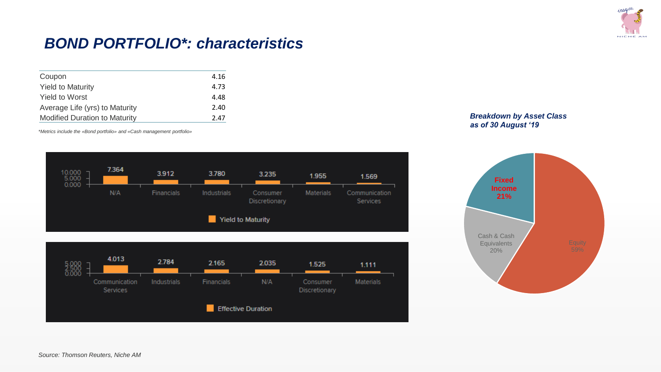

### *BOND PORTFOLIO\*: characteristics*

| Coupon                               | 4.16 |
|--------------------------------------|------|
| <b>Yield to Maturity</b>             | 4.73 |
| <b>Yield to Worst</b>                | 4.48 |
| Average Life (yrs) to Maturity       | 2.40 |
| <b>Modified Duration to Maturity</b> | 2.47 |

*\*Metrics include the «Bond portfolio» and «Cash management portfolio»*







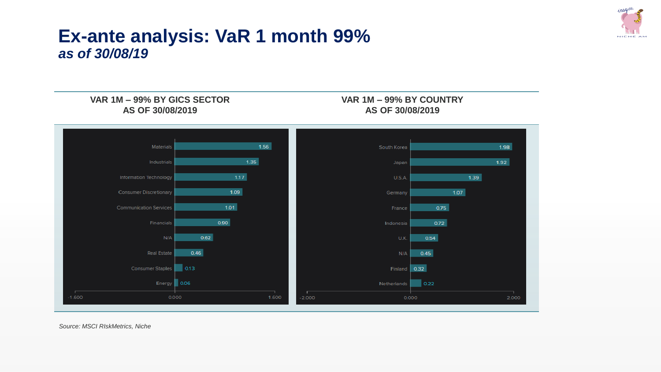

## **Ex-ante analysis: VaR 1 month 99%**  *as of 30/08/19*

**VAR 1M – 99% BY GICS SECTOR AS OF 30/08/2019**

**VAR 1M – 99% BY COUNTRY AS OF 30/08/2019**



*Source: MSCI RIskMetrics, Niche*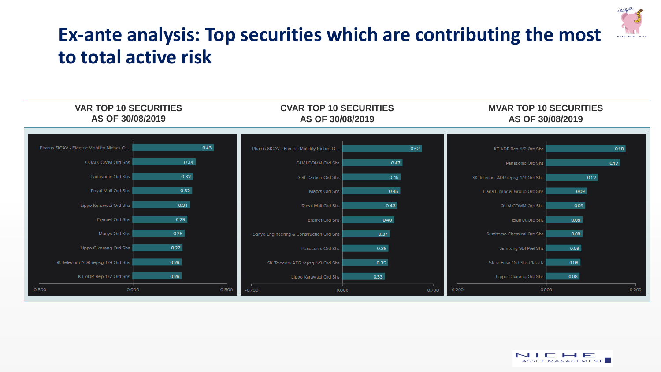

# **Ex-ante analysis: Top securities which are contributing the most to total active risk**



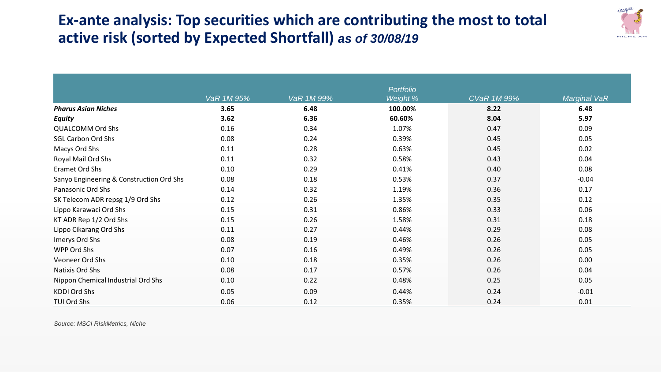## **Ex-ante analysis: Top securities which are contributing the most to total active risk (sorted by Expected Shortfall)** *as of 30/08/19*



|                                          |            |            | <b>Portfolio</b> |                    |                     |
|------------------------------------------|------------|------------|------------------|--------------------|---------------------|
|                                          | VaR 1M 95% | VaR 1M 99% | Weight %         | <b>CVaR 1M 99%</b> | <b>Marginal VaR</b> |
| <b>Pharus Asian Niches</b>               | 3.65       | 6.48       | 100.00%          | 8.22               | 6.48                |
| <b>Equity</b>                            | 3.62       | 6.36       | 60.60%           | 8.04               | 5.97                |
| <b>QUALCOMM Ord Shs</b>                  | 0.16       | 0.34       | 1.07%            | 0.47               | 0.09                |
| <b>SGL Carbon Ord Shs</b>                | 0.08       | 0.24       | 0.39%            | 0.45               | 0.05                |
| Macys Ord Shs                            | 0.11       | 0.28       | 0.63%            | 0.45               | 0.02                |
| Royal Mail Ord Shs                       | 0.11       | 0.32       | 0.58%            | 0.43               | 0.04                |
| Eramet Ord Shs                           | 0.10       | 0.29       | 0.41%            | 0.40               | 0.08                |
| Sanyo Engineering & Construction Ord Shs | 0.08       | 0.18       | 0.53%            | 0.37               | $-0.04$             |
| Panasonic Ord Shs                        | 0.14       | 0.32       | 1.19%            | 0.36               | 0.17                |
| SK Telecom ADR repsg 1/9 Ord Shs         | 0.12       | 0.26       | 1.35%            | 0.35               | 0.12                |
| Lippo Karawaci Ord Shs                   | 0.15       | 0.31       | 0.86%            | 0.33               | 0.06                |
| KT ADR Rep 1/2 Ord Shs                   | 0.15       | 0.26       | 1.58%            | 0.31               | 0.18                |
| Lippo Cikarang Ord Shs                   | 0.11       | 0.27       | 0.44%            | 0.29               | 0.08                |
| Imerys Ord Shs                           | 0.08       | 0.19       | 0.46%            | 0.26               | 0.05                |
| WPP Ord Shs                              | 0.07       | 0.16       | 0.49%            | 0.26               | 0.05                |
| Veoneer Ord Shs                          | 0.10       | 0.18       | 0.35%            | 0.26               | 0.00                |
| Natixis Ord Shs                          | 0.08       | 0.17       | 0.57%            | 0.26               | 0.04                |
| Nippon Chemical Industrial Ord Shs       | 0.10       | 0.22       | 0.48%            | 0.25               | 0.05                |
| <b>KDDI Ord Shs</b>                      | 0.05       | 0.09       | 0.44%            | 0.24               | $-0.01$             |
| TUI Ord Shs                              | 0.06       | 0.12       | 0.35%            | 0.24               | 0.01                |

*Source: MSCI RIskMetrics, Niche*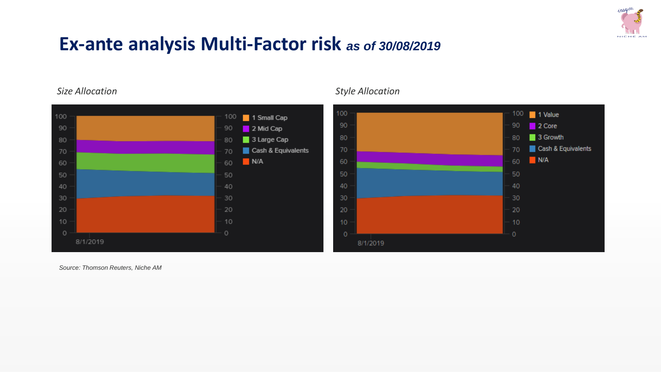

# **Ex-ante analysis Multi-Factor risk** *as of 30/08/2019*



### *Size Allocation Style Allocation*



*Source: Thomson Reuters, Niche AM*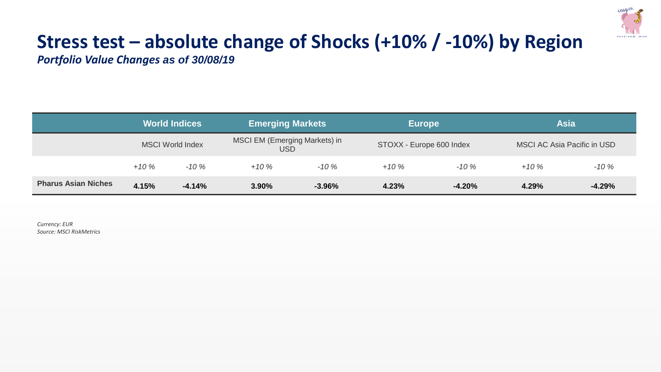

# **Stress test – absolute change of Shocks (+10% / -10%) by Region**

*Portfolio Value Changes as of 30/08/19*

|                            | <b>World Indices</b>    |          | <b>Emerging Markets</b>               |          |                          | <b>Europe</b> |                                    | <b>Asia</b> |  |
|----------------------------|-------------------------|----------|---------------------------------------|----------|--------------------------|---------------|------------------------------------|-------------|--|
|                            | <b>MSCI World Index</b> |          | MSCI EM (Emerging Markets) in<br>USD. |          | STOXX - Europe 600 Index |               | <b>MSCI AC Asia Pacific in USD</b> |             |  |
|                            | $+10%$                  | $-10%$   | $+10%$                                | $-10%$   | $+10%$                   | $-10%$        | $+10%$                             | $-10%$      |  |
| <b>Pharus Asian Niches</b> | 4.15%                   | $-4.14%$ | 3.90%                                 | $-3.96%$ | 4.23%                    | $-4.20%$      | 4.29%                              | $-4.29%$    |  |

*Currency: EUR Source: MSCI RiskMetrics*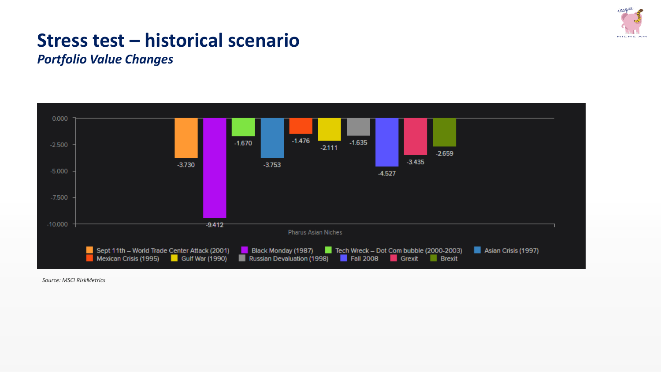

# **Stress test – historical scenario**

*Portfolio Value Changes*



*Source: MSCI RiskMetrics*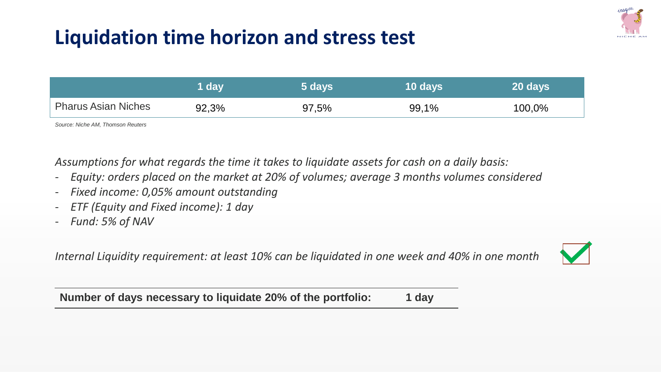# **Liquidation time horizon and stress test**



*Assumptions for what regards the time it takes to liquidate assets for cash on a daily basis:*

- *Equity: orders placed on the market at 20% of volumes; average 3 months volumes considered*
- *Fixed income: 0,05% amount outstanding*
- *ETF (Equity and Fixed income): 1 day*
- *Fund: 5% of NAV*

*Internal Liquidity requirement: at least 10% can be liquidated in one week and 40% in one month*



**Number of days necessary to liquidate 20% of the portfolio: 1 day**



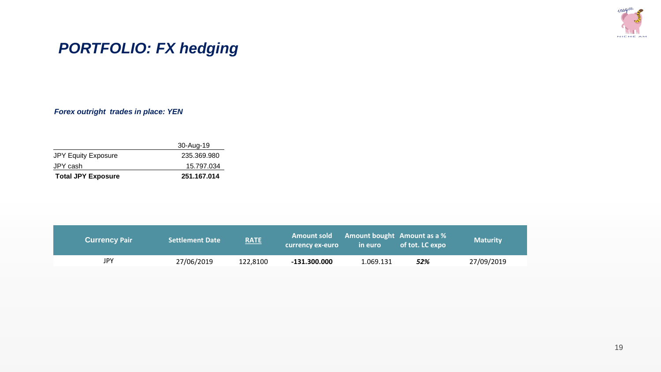

## *PORTFOLIO: FX hedging*

*Forex outright trades in place: YEN*

|                            | 30-Aug-19   |
|----------------------------|-------------|
| <b>JPY Equity Exposure</b> | 235.369.980 |
| JPY cash                   | 15.797.034  |
| <b>Total JPY Exposure</b>  | 251.167.014 |

| <b>Currency Pair</b> | <b>Settlement Date</b> | RATE     | <b>Amount sold</b><br>currency ex-euro | <b>Amount bought</b> Amount as a %<br>in euro | of tot. LC expo | <b>Maturity</b> |
|----------------------|------------------------|----------|----------------------------------------|-----------------------------------------------|-----------------|-----------------|
| JPY                  | 27/06/2019             | 122,8100 | $-131.300.000$                         | 1.069.131                                     | 52%             | 27/09/2019      |